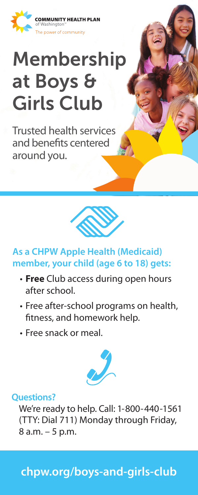

# Membership at Boys & Girls Club

Trusted health services and benefits centered around you.



### **As a CHPW Apple Health (Medicaid) member, your child (age 6 to 18) gets:**

- **Free** Club access during open hours after school.
- Free after-school programs on health, fitness, and homework help.
- Free snack or meal.



#### **Questions?**

We're ready to help. Call: 1-800-440-1561 (TTY: Dial 711) Monday through Friday, 8 a.m. – 5 p.m.

### **chpw.org/boys-and-girls-club**